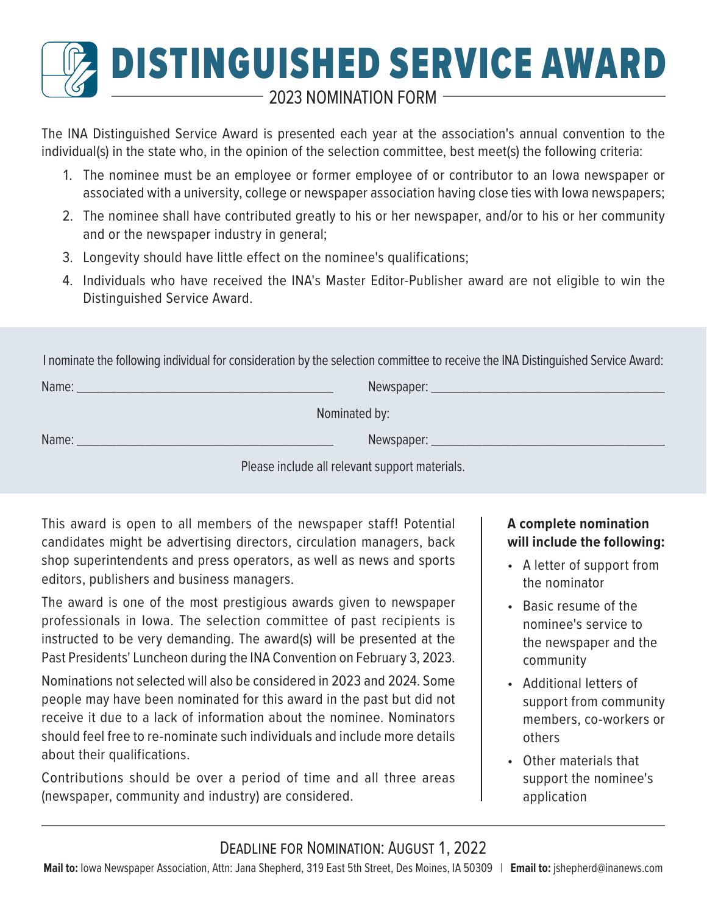# DISTINGUISHED SERVICE AWARD  $\,$  - 2023 NOMINATION FORM  $\,$   $\,$

The INA Distinguished Service Award is presented each year at the association's annual convention to the individual(s) in the state who, in the opinion of the selection committee, best meet(s) the following criteria:

- 1. The nominee must be an employee or former employee of or contributor to an Iowa newspaper or associated with a university, college or newspaper association having close ties with Iowa newspapers;
- 2. The nominee shall have contributed greatly to his or her newspaper, and/or to his or her community and or the newspaper industry in general;
- 3. Longevity should have little effect on the nominee's qualifications;
- 4. Individuals who have received the INA's Master Editor-Publisher award are not eligible to win the Distinguished Service Award.

I nominate the following individual for consideration by the selection committee to receive the INA Distinguished Service Award:

| Name: | Newspaper: _  |  |
|-------|---------------|--|
|       | Nominated by: |  |
| Name: | Newspaper:    |  |

Please include all relevant support materials.

This award is open to all members of the newspaper staff! Potential candidates might be advertising directors, circulation managers, back shop superintendents and press operators, as well as news and sports editors, publishers and business managers.

The award is one of the most prestigious awards given to newspaper professionals in Iowa. The selection committee of past recipients is instructed to be very demanding. The award(s) will be presented at the Past Presidents' Luncheon during the INA Convention on February 3, 2023.

Nominations not selected will also be considered in 2023 and 2024. Some people may have been nominated for this award in the past but did not receive it due to a lack of information about the nominee. Nominators should feel free to re-nominate such individuals and include more details about their qualifications.

Contributions should be over a period of time and all three areas (newspaper, community and industry) are considered.

## **A complete nomination will include the following:**

- A letter of support from the nominator
- Basic resume of the nominee's service to the newspaper and the community
- Additional letters of support from community members, co-workers or others
- Other materials that support the nominee's application